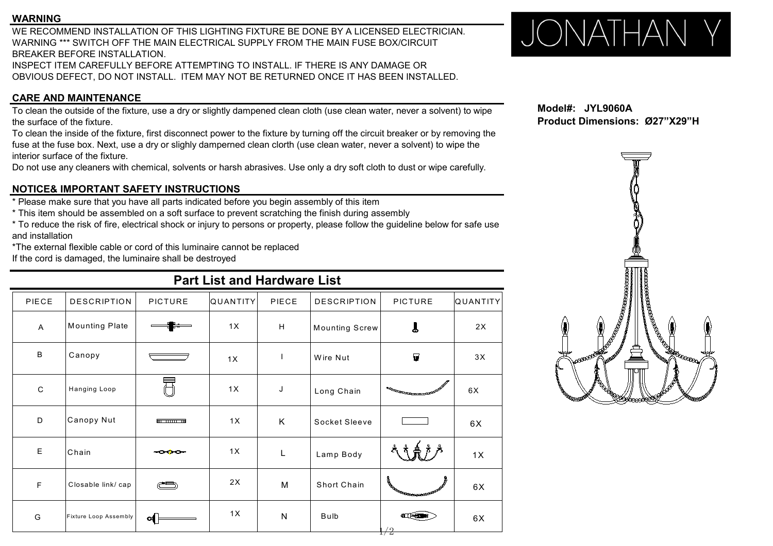### **WARNING**

WE RECOMMEND INSTALLATION OF THIS LIGHTING FIXTURE BE DONE BY A LICENSED ELECTRICIAN.<br>WARNING \*\*\* SWITCH OFF THE MAIN ELECTRICAL SUPPLY FROM THE MAIN FUSE BOX/CIRCUIT WARNING \*\*\* SWITCH OFF THE MAIN ELECTRICAL SUPPLY FROM THE MAIN FUSE BOX/CIRCUIT BREAKER BEFORE INSTALLATION. INSPECT ITEM CAREFULLY BEFORE ATTEMPTING TO INSTALL. IF THERE IS ANY DAMAGE OR

# OBVIOUS DEFECT, DO NOT INSTALL. ITEM MAY NOT BE RETURNED ONCE IT HAS BEEN INSTALLED.

## **CARE AND MAINTENANCE**

To clean the outside of the fixture, use a dry or slightly dampened clean cloth (use clean water, never a solvent) to wipe the surface of the fixture.

To clean the inside of the fixture, first disconnect power to the fixture by turning off the circuit breaker or by removing the fuse at the fuse box. Next, use a dry or slighly damperned clean clorth (use clean water, never a solvent) to wipe the interior surface of the fixture.

Do not use any cleaners with chemical, solvents or harsh abrasives. Use only a dry soft cloth to dust or wipe carefully.

## **NOTICE& IMPORTANT SAFETY INSTRUCTIONS**

\* Please make sure that you have all parts indicated before you begin assembly of this item

\* This item should be assembled on a soft surface to prevent scratching the finish during assembly

\* To reduce the risk of fire, electrical shock or injury to persons or property, please follow the guideline below for safe use and installation

\*The external flexible cable or cord of this luminaire cannot be replaced

If the cord is damaged, the luminaire shall be destroyed

## **Part List and Hardware List**

| PIECE          | <b>DESCRIPTION</b>    | <b>PICTURE</b> | <b>QUANTITY</b> | PIECE                     | <b>DESCRIPTION</b>    | <b>PICTURE</b>                              | QUANTITY |                                                                 |
|----------------|-----------------------|----------------|-----------------|---------------------------|-----------------------|---------------------------------------------|----------|-----------------------------------------------------------------|
| $\overline{A}$ | Mounting Plate        |                | 1X              | $\boldsymbol{\mathsf{H}}$ | <b>Mounting Screw</b> | L                                           | 2X       | $\left( \begin{matrix} \bullet \\ \bullet \end{matrix} \right)$ |
| $\sf B$        | Canopy                |                | 1X              |                           | Wire Nut              | $\blacksquare$                              | 3X       | <b>NOCESSERIES</b>                                              |
| $\mathsf{C}$   | Hanging Loop          | 昂              | 1X              | J                         | Long Chain            | <b>BERGESCO CONTINUOS DE LA CARACCIÓN E</b> | 6X       | <b>ANDRA</b><br><b>BOOSCHANGER</b>                              |
| D              | Canopy Nut            | <u>m uuu m</u> | 1X              | K                         | Socket Sleeve         |                                             | 6X       |                                                                 |
| $\mathsf E$    | Chain                 | -000-          | 1X              | $\mathsf{L}$              | Lamp Body             |                                             | 1X       |                                                                 |
| $\mathsf F$    | Closable link/cap     | $\circledcirc$ | 2X              | M                         | Short Chain           | <b>OR CONSCRECTION OF THE CONSCRECTION</b>  | 6X       |                                                                 |
| G              | Fixture Loop Assembly | $\circ$        | 1X              | N                         | Bulb                  | <b>ILL PERSONAL PROPERTY</b><br>1/2         | 6X       |                                                                 |

**Model#: JYL9060A Product Dimensions: Ø27"X29"H**